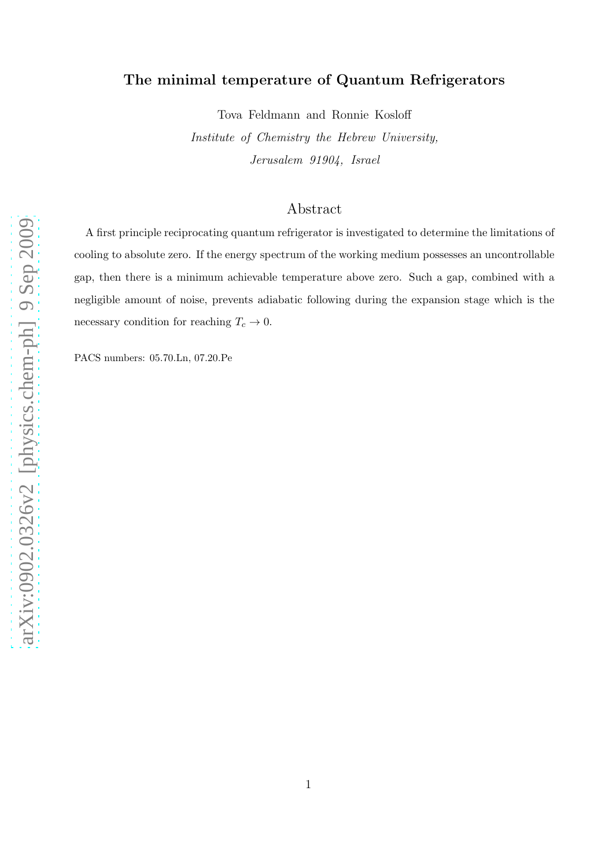## The minimal temperature of Quantum Refrigerators

Tova Feldmann and Ronnie Kosloff

Institute of Chemistry the Hebrew University, Jerusalem 91904, Israel

## Abstract

A first principle reciprocating quantum refrigerator is investigated to determine the limitations of cooling to absolute zero. If the energy spectrum of the working medium possesses an uncontrollable gap, then there is a minimum achievable temperature above zero. Such a gap, combined with a negligible amount of noise, prevents adiabatic following during the expansion stage which is the necessary condition for reaching  $T_c \rightarrow 0.$ 

PACS numbers: 05.70.Ln, 07.20.Pe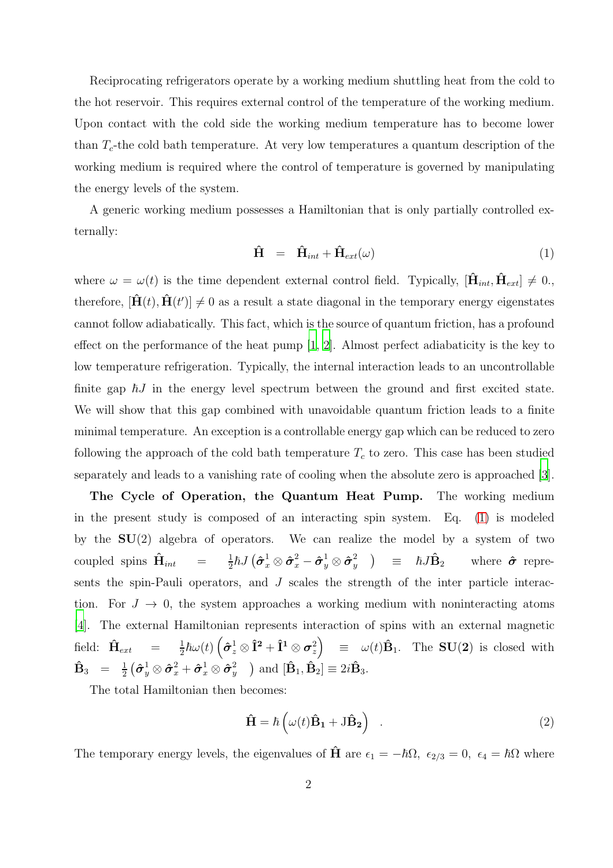Reciprocating refrigerators operate by a working medium shuttling heat from the cold to the hot reservoir. This requires external control of the temperature of the working medium. Upon contact with the cold side the working medium temperature has to become lower than  $T_c$ -the cold bath temperature. At very low temperatures a quantum description of the working medium is required where the control of temperature is governed by manipulating the energy levels of the system.

A generic working medium possesses a Hamiltonian that is only partially controlled externally:

<span id="page-1-0"></span>
$$
\hat{\mathbf{H}} = \hat{\mathbf{H}}_{int} + \hat{\mathbf{H}}_{ext}(\omega) \tag{1}
$$

where  $\omega = \omega(t)$  is the time dependent external control field. Typically,  $[\hat{H}_{int}, \hat{H}_{ext}] \neq 0$ . therefore,  $[\hat{H}(t), \hat{H}(t')] \neq 0$  as a result a state diagonal in the temporary energy eigenstates cannot follow adiabatically. This fact, which is the source of quantum friction, has a profound effect on the performance of the heat pump [\[1,](#page-10-0) [2\]](#page-10-1). Almost perfect adiabaticity is the key to low temperature refrigeration. Typically, the internal interaction leads to an uncontrollable finite gap  $\hbar J$  in the energy level spectrum between the ground and first excited state. We will show that this gap combined with unavoidable quantum friction leads to a finite minimal temperature. An exception is a controllable energy gap which can be reduced to zero following the approach of the cold bath temperature  $T_c$  to zero. This case has been studied separately and leads to a vanishing rate of cooling when the absolute zero is approached [\[3\]](#page-10-2).

The Cycle of Operation, the Quantum Heat Pump. The working medium in the present study is composed of an interacting spin system. Eq. [\(1\)](#page-1-0) is modeled by the  $SU(2)$  algebra of operators. We can realize the model by a system of two coupled spins  $\hat{\mathbf{H}}_{int}$  =  $\frac{1}{2}$  $\frac{1}{2}\hbar J\left(\bm{\hat{\sigma}}_{x}^{1} \otimes \bm{\hat{\sigma}}_{x}^{2}-\bm{\hat{\sigma}}_{y}^{1} \otimes \bm{\hat{\sigma}}_{y}^{2}\right)$  $(\frac{2}{y})$  =  $\hbar J \hat{\mathbf{B}}_2$  where  $\hat{\boldsymbol{\sigma}}$  represents the spin-Pauli operators, and J scales the strength of the inter particle interaction. For  $J \to 0$ , the system approaches a working medium with noninteracting atoms [\[4](#page-10-3)]. The external Hamiltonian represents interaction of spins with an external magnetic field:  $\hat{\mathbf{H}}_{ext} = \frac{1}{2}$  $\frac{1}{2}\hbar\omega(t)\left(\pmb{\hat{\sigma}}_{z}^{1}\otimes\pmb{\hat{\mathbf{I}}}^{2}+\pmb{\hat{\mathbf{I}}}^{1}\otimes\pmb{\sigma}_{z}^{2}\right) \quad \equiv \quad \omega(t)\hat{\mathbf{B}}_{1}.$  The  $\mathbf{SU}(2)$  is closed with  $\mathbf{\hat{B}}_3 = \frac{1}{2}$  $\frac{1}{2}\left(\boldsymbol{\hat{\sigma}}_{y}^{1}\otimes\boldsymbol{\hat{\sigma}}_{x}^{2}+\boldsymbol{\hat{\sigma}}_{x}^{1}\otimes\boldsymbol{\hat{\sigma}}_{y}^{2}\right)$  $\hat{\mathbf{B}}_y$  ) and  $[\mathbf{\hat{B}}_1, \mathbf{\hat{B}}_2] \equiv 2i\mathbf{\hat{B}}_3$ .

The total Hamiltonian then becomes:

<span id="page-1-1"></span>
$$
\hat{\mathbf{H}} = \hbar \left( \omega(t) \hat{\mathbf{B}}_1 + \mathbf{J} \hat{\mathbf{B}}_2 \right) \quad . \tag{2}
$$

The temporary energy levels, the eigenvalues of  $\hat{H}$  are  $\epsilon_1 = -\hbar\Omega$ ,  $\epsilon_{2/3} = 0$ ,  $\epsilon_4 = \hbar\Omega$  where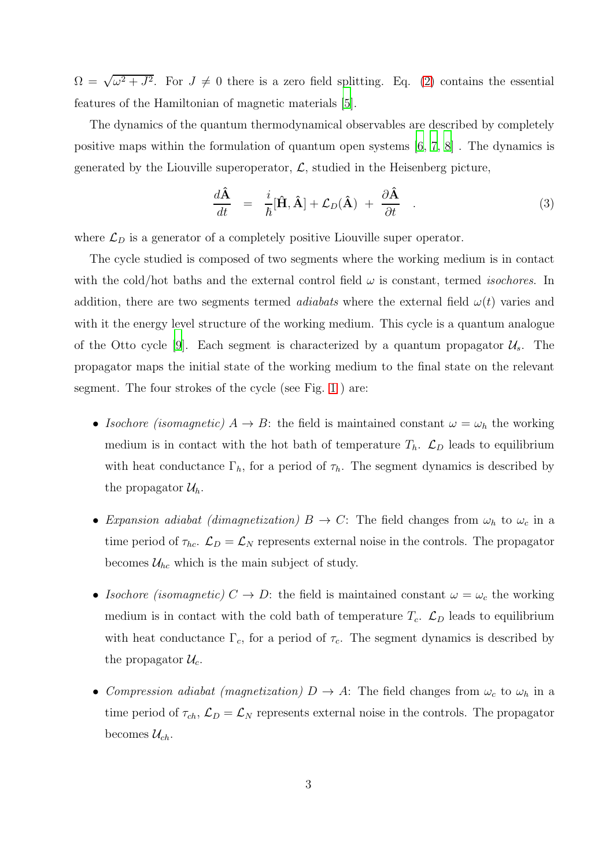$\Omega = \sqrt{\omega^2 + J^2}$ . For  $J \neq 0$  there is a zero field splitting. Eq. [\(2\)](#page-1-1) contains the essential features of the Hamiltonian of magnetic materials [\[5](#page-10-4)].

The dynamics of the quantum thermodynamical observables are described by completely positive maps within the formulation of quantum open systems [\[6](#page-10-5), [7](#page-10-6), [8\]](#page-10-7) . The dynamics is generated by the Liouville superoperator,  $\mathcal{L}$ , studied in the Heisenberg picture,

$$
\frac{d\hat{\mathbf{A}}}{dt} = \frac{i}{\hbar}[\hat{\mathbf{H}}, \hat{\mathbf{A}}] + \mathcal{L}_D(\hat{\mathbf{A}}) + \frac{\partial \hat{\mathbf{A}}}{\partial t} . \tag{3}
$$

where  $\mathcal{L}_D$  is a generator of a completely positive Liouville super operator.

The cycle studied is composed of two segments where the working medium is in contact with the cold/hot baths and the external control field  $\omega$  is constant, termed *isochores*. In addition, there are two segments termed *adiabats* where the external field  $\omega(t)$  varies and with it the energy level structure of the working medium. This cycle is a quantum analogue of the Otto cycle [\[9](#page-10-8)]. Each segment is characterized by a quantum propagator  $\mathcal{U}_s$ . The propagator maps the initial state of the working medium to the final state on the relevant segment. The four strokes of the cycle (see Fig. [1](#page-3-0) ) are:

- Isochore (isomagnetic)  $A \to B$ : the field is maintained constant  $\omega = \omega_h$  the working medium is in contact with the hot bath of temperature  $T_h$ .  $\mathcal{L}_D$  leads to equilibrium with heat conductance  $\Gamma_h$ , for a period of  $\tau_h$ . The segment dynamics is described by the propagator  $\mathcal{U}_h$ .
- Expansion adiabat (dimagnetization)  $B \to C$ : The field changes from  $\omega_h$  to  $\omega_c$  in a time period of  $\tau_{hc}$ .  $\mathcal{L}_D = \mathcal{L}_N$  represents external noise in the controls. The propagator becomes  $\mathcal{U}_{hc}$  which is the main subject of study.
- Isochore (isomagnetic)  $C \to D$ : the field is maintained constant  $\omega = \omega_c$  the working medium is in contact with the cold bath of temperature  $T_c$ .  $\mathcal{L}_D$  leads to equilibrium with heat conductance  $\Gamma_c$ , for a period of  $\tau_c$ . The segment dynamics is described by the propagator  $\mathcal{U}_c$ .
- Compression adiabat (magnetization)  $D \to A$ : The field changes from  $\omega_c$  to  $\omega_h$  in a time period of  $\tau_{ch}$ ,  $\mathcal{L}_D = \mathcal{L}_N$  represents external noise in the controls. The propagator becomes  $\mathcal{U}_{ch}$ .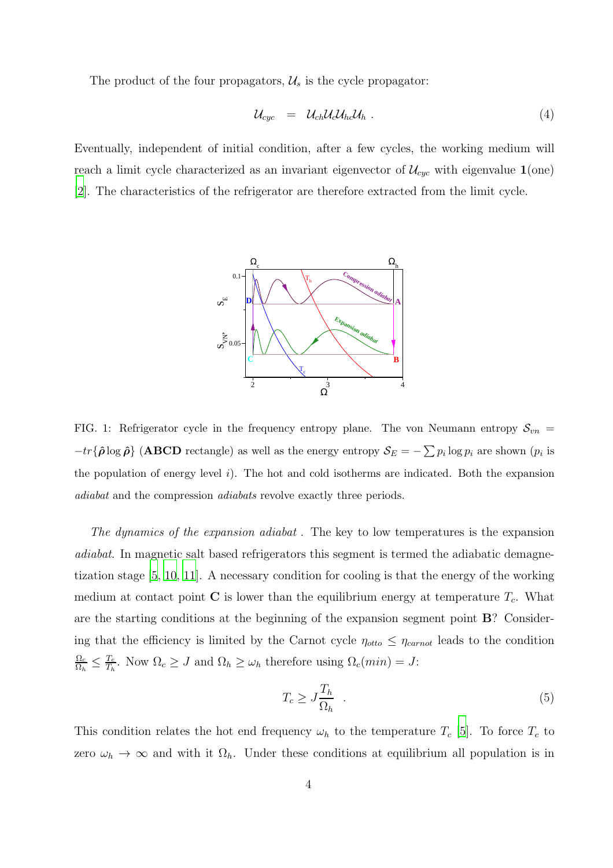The product of the four propagators,  $\mathcal{U}_s$  is the cycle propagator:

$$
\mathcal{U}_{cyc} = \mathcal{U}_{ch} \mathcal{U}_c \mathcal{U}_{hc} \mathcal{U}_h \tag{4}
$$

Eventually, independent of initial condition, after a few cycles, the working medium will reach a limit cycle characterized as an invariant eigenvector of  $\mathcal{U}_{cyc}$  with eigenvalue  $\mathbf{1}(\text{one})$ [\[2](#page-10-1)]. The characteristics of the refrigerator are therefore extracted from the limit cycle.



<span id="page-3-0"></span>FIG. 1: Refrigerator cycle in the frequency entropy plane. The von Neumann entropy  $S_{vn}$  =  $-tr{\{\hat{\rho}\log\hat{\rho}\}}$  (ABCD rectangle) as well as the energy entropy  $\mathcal{S}_E = -\sum p_i \log p_i$  are shown  $(p_i$  is the population of energy level  $i$ ). The hot and cold isotherms are indicated. Both the expansion adiabat and the compression adiabats revolve exactly three periods.

The dynamics of the expansion adiabat . The key to low temperatures is the expansion adiabat. In magnetic salt based refrigerators this segment is termed the adiabatic demagnetization stage [\[5](#page-10-4), [10](#page-10-9), [11\]](#page-10-10). A necessary condition for cooling is that the energy of the working medium at contact point  $\bf{C}$  is lower than the equilibrium energy at temperature  $T_c$ . What are the starting conditions at the beginning of the expansion segment point B? Considering that the efficiency is limited by the Carnot cycle  $\eta_{otto} \leq \eta_{carnot}$  leads to the condition  $\Omega_c$  $\frac{\Omega_c}{\Omega_h} \leq \frac{T_c}{T_h}$  $\frac{T_c}{T_h}$ . Now  $\Omega_c \geq J$  and  $\Omega_h \geq \omega_h$  therefore using  $\Omega_c(min) = J$ :

$$
T_c \ge J \frac{T_h}{\Omega_h} \quad . \tag{5}
$$

This condition relates the hot end frequency  $\omega_h$  to the temperature  $T_c$  [\[5](#page-10-4)]. To force  $T_c$  to zero  $\omega_h \to \infty$  and with it  $\Omega_h$ . Under these conditions at equilibrium all population is in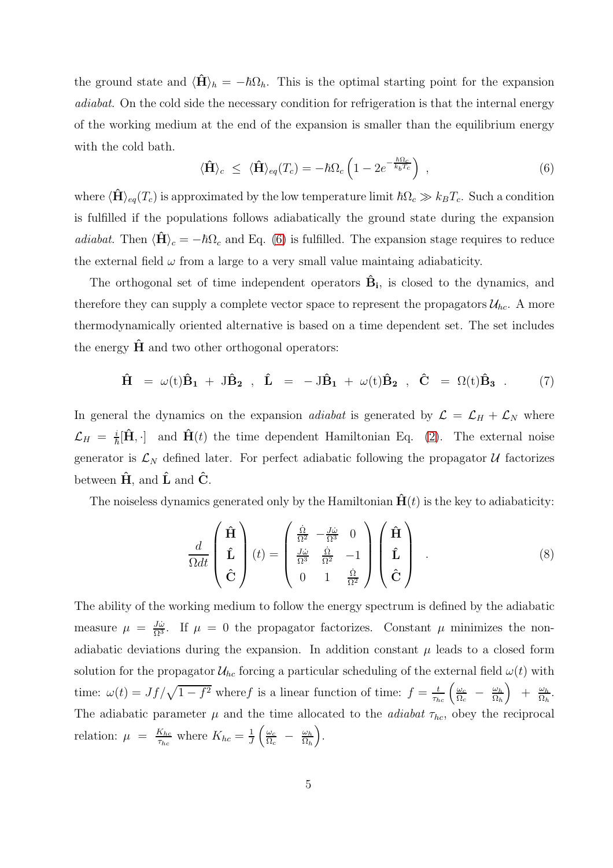the ground state and  $\langle \hat{H} \rangle_h = -\hbar \Omega_h$ . This is the optimal starting point for the expansion adiabat. On the cold side the necessary condition for refrigeration is that the internal energy of the working medium at the end of the expansion is smaller than the equilibrium energy with the cold bath.

<span id="page-4-0"></span>
$$
\langle \hat{\mathbf{H}} \rangle_c \leq \langle \hat{\mathbf{H}} \rangle_{eq}(T_c) = -\hbar \Omega_c \left( 1 - 2e^{-\frac{\hbar \Omega_c}{k_b T_c}} \right) , \qquad (6)
$$

where  $\langle \hat{H} \rangle_{eq}(T_c)$  is approximated by the low temperature limit  $\hbar \Omega_c \gg k_B T_c$ . Such a condition is fulfilled if the populations follows adiabatically the ground state during the expansion adiabat. Then  $\langle \hat{H} \rangle_c = -\hbar \Omega_c$  and Eq. [\(6\)](#page-4-0) is fulfilled. The expansion stage requires to reduce the external field  $\omega$  from a large to a very small value maintaing adiabaticity.

The orthogonal set of time independent operators  $\hat{B}_i$ , is closed to the dynamics, and therefore they can supply a complete vector space to represent the propagators  $\mathcal{U}_{hc}$ . A more thermodynamically oriented alternative is based on a time dependent set. The set includes the energy  $H$  and two other orthogonal operators:

$$
\hat{H} = \omega(t)\hat{B}_1 + J\hat{B}_2 , \quad \hat{L} = -J\hat{B}_1 + \omega(t)\hat{B}_2 , \quad \hat{C} = \Omega(t)\hat{B}_3 . \tag{7}
$$

In general the dynamics on the expansion *adiabat* is generated by  $\mathcal{L} = \mathcal{L}_H + \mathcal{L}_N$  where  $\mathcal{L}_H = \frac{i}{\hbar} [\hat{H}, \cdot]$  and  $\hat{H}(t)$  the time dependent Hamiltonian Eq. [\(2\)](#page-1-1). The external noise generator is  $\mathcal{L}_N$  defined later. For perfect adiabatic following the propagator U factorizes between  $\hat{H}$ , and  $\hat{L}$  and  $\hat{C}$ .

The noiseless dynamics generated only by the Hamiltonian  $\hat{H}(t)$  is the key to adiabaticity:

<span id="page-4-1"></span>
$$
\frac{d}{\Omega dt} \begin{pmatrix} \hat{\mathbf{H}} \\ \hat{\mathbf{L}} \\ \hat{\mathbf{C}} \end{pmatrix} (t) = \begin{pmatrix} \frac{\dot{\Omega}}{\Omega^2} & -\frac{J\dot{\omega}}{\Omega^3} & 0 \\ \frac{J\dot{\omega}}{\Omega^3} & \frac{\dot{\Omega}}{\Omega^2} & -1 \\ 0 & 1 & \frac{\dot{\Omega}}{\Omega^2} \end{pmatrix} \begin{pmatrix} \hat{\mathbf{H}} \\ \hat{\mathbf{L}} \\ \hat{\mathbf{C}} \end{pmatrix} . \tag{8}
$$

The ability of the working medium to follow the energy spectrum is defined by the adiabatic measure  $\mu = \frac{J\dot{\omega}}{\Omega^3}$ . If  $\mu = 0$  the propagator factorizes. Constant  $\mu$  minimizes the nonadiabatic deviations during the expansion. In addition constant  $\mu$  leads to a closed form solution for the propagator  $\mathcal{U}_{hc}$  forcing a particular scheduling of the external field  $\omega(t)$  with time:  $\omega(t) = Jf/\sqrt{1-f^2}$  where f is a linear function of time:  $f = \frac{t}{\tau_{hc}} \left( \frac{\omega_c}{\Omega_c} \right)$  $\frac{\omega_c}{\Omega_c}$  –  $\frac{\omega_h}{\Omega_h}$  $\Omega_h$  $+ \frac{\omega_h}{\Omega_i}$  $\frac{\omega_h}{\Omega_h}$ . The adiabatic parameter  $\mu$  and the time allocated to the *adiabat*  $\tau_{hc}$ , obey the reciprocal relation:  $\mu = \frac{K_{hc}}{\tau_c}$  $\frac{K_{hc}}{\tau_{hc}}$  where  $K_{hc} = \frac{1}{J}$  $\frac{1}{J}\left(\frac{\omega_c}{\Omega_c}\right)$  $\frac{\omega_c}{\Omega_c}$  –  $\frac{\omega_h}{\Omega_h}$  $\Omega_h$ .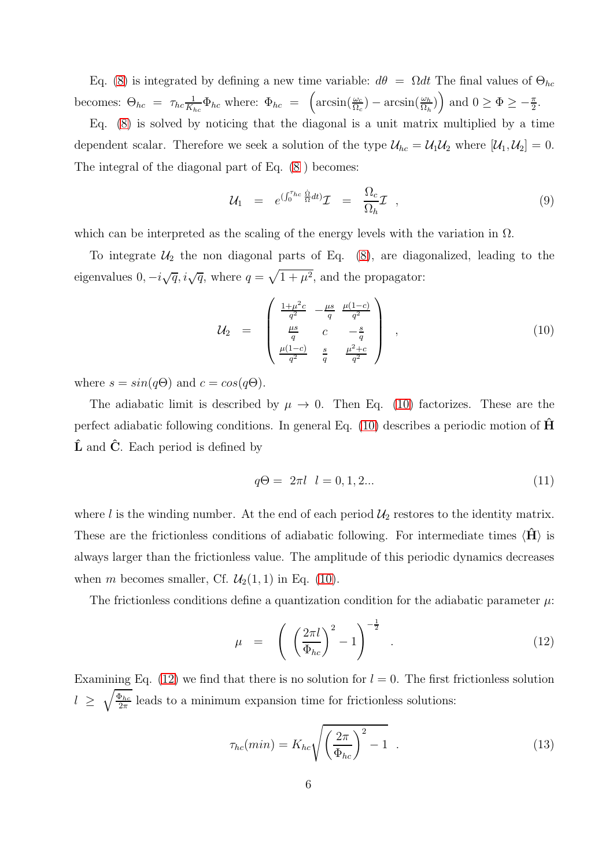Eq. [\(8\)](#page-4-1) is integrated by defining a new time variable:  $d\theta = \Omega dt$  The final values of  $\Theta_{hc}$ becomes:  $\Theta_{hc} = \tau_{hc} \frac{1}{K_h}$  $\frac{1}{K_{hc}}\Phi_{hc}$  where:  $\Phi_{hc} = \left(\arcsin\left(\frac{\omega_c}{\Omega_c}\right) - \arcsin\left(\frac{\omega_h}{\Omega_h}\right)\right)$  and  $0 \ge \Phi \ge -\frac{\pi}{2}$ .

Eq. [\(8\)](#page-4-1) is solved by noticing that the diagonal is a unit matrix multiplied by a time dependent scalar. Therefore we seek a solution of the type  $\mathcal{U}_{hc} = \mathcal{U}_1 \mathcal{U}_2$  where  $[\mathcal{U}_1, \mathcal{U}_2] = 0$ . The integral of the diagonal part of Eq. [\(8](#page-4-1) ) becomes:

$$
\mathcal{U}_1 = e^{(\int_0^{\tau_{hc}} \frac{\dot{\Omega}}{\Omega} dt)} \mathcal{I} = \frac{\Omega_c}{\Omega_h} \mathcal{I} \quad , \tag{9}
$$

which can be interpreted as the scaling of the energy levels with the variation in  $\Omega$ .

To integrate  $U_2$  the non diagonal parts of Eq. [\(8\)](#page-4-1), are diagonalized, leading to the eigenvalues  $0, -i\sqrt{q}, i\sqrt{q}$ , where  $q = \sqrt{1 + \mu^2}$ , and the propagator:

<span id="page-5-0"></span>
$$
\mathcal{U}_2 = \begin{pmatrix} \frac{1+\mu^2c}{q^2} & -\frac{\mu s}{q} & \frac{\mu(1-c)}{q^2} \\ \frac{\mu s}{q} & c & -\frac{s}{q} \\ \frac{\mu(1-c)}{q^2} & \frac{s}{q} & \frac{\mu^2+c}{q^2} \end{pmatrix} , \qquad (10)
$$

where  $s = sin(q\Theta)$  and  $c = cos(q\Theta)$ .

The adiabatic limit is described by  $\mu \to 0$ . Then Eq. [\(10\)](#page-5-0) factorizes. These are the perfect adiabatic following conditions. In general Eq.  $(10)$  describes a periodic motion of  $\hat{H}$  $\hat{\mathbf{L}}$  and  $\hat{\mathbf{C}}$ . Each period is defined by

$$
q\Theta = 2\pi l \quad l = 0, 1, 2... \tag{11}
$$

where l is the winding number. At the end of each period  $\mathcal{U}_2$  restores to the identity matrix. These are the frictionless conditions of adiabatic following. For intermediate times  $\langle \mathbf{H} \rangle$  is always larger than the frictionless value. The amplitude of this periodic dynamics decreases when m becomes smaller, Cf.  $\mathcal{U}_2(1,1)$  in Eq. [\(10\)](#page-5-0).

The frictionless conditions define a quantization condition for the adiabatic parameter  $\mu$ :

<span id="page-5-1"></span>
$$
\mu = \left(\left(\frac{2\pi l}{\Phi_{hc}}\right)^2 - 1\right)^{-\frac{1}{2}}.
$$
\n(12)

Examining Eq. [\(12\)](#page-5-1) we find that there is no solution for  $l = 0$ . The first frictionless solution  $l \geq \sqrt{\frac{\Phi_{hc}}{2\pi}}$  $\frac{p_{hc}}{2\pi}$  leads to a minimum expansion time for frictionless solutions:

<span id="page-5-2"></span>
$$
\tau_{hc}(min) = K_{hc} \sqrt{\left(\frac{2\pi}{\Phi_{hc}}\right)^2 - 1} \quad . \tag{13}
$$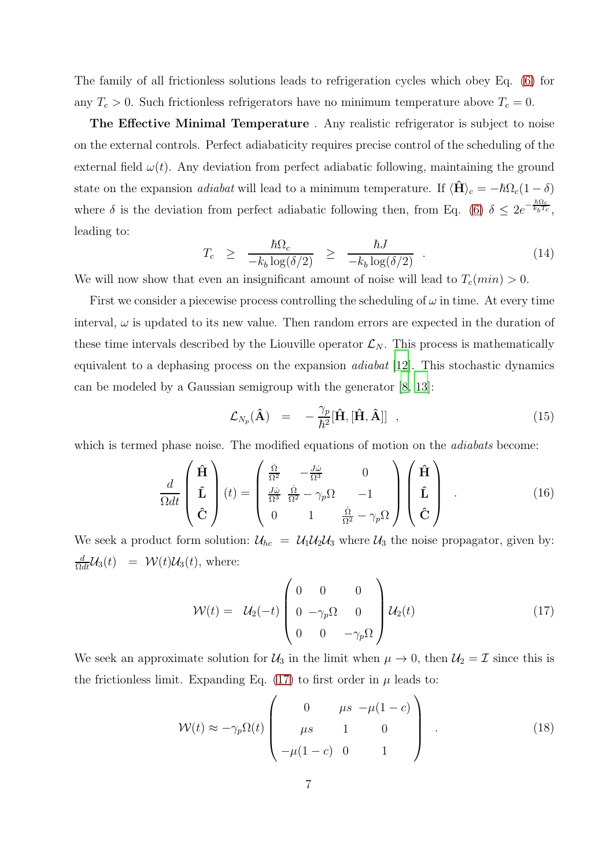The family of all frictionless solutions leads to refrigeration cycles which obey Eq. [\(6\)](#page-4-0) for any  $T_c > 0$ . Such frictionless refrigerators have no minimum temperature above  $T_c = 0$ .

The Effective Minimal Temperature . Any realistic refrigerator is subject to noise on the external controls. Perfect adiabaticity requires precise control of the scheduling of the external field  $\omega(t)$ . Any deviation from perfect adiabatic following, maintaining the ground state on the expansion *adiabat* will lead to a minimum temperature. If  $\langle \hat{H} \rangle_c = -\hbar \Omega_c (1 - \delta)$ where  $\delta$  is the deviation from perfect adiabatic following then, from Eq. [\(6\)](#page-4-0)  $\delta \leq 2e^{-\frac{\hbar\Omega_c}{k_bT_c}}$ , leading to:

$$
T_c \geq \frac{\hbar\Omega_c}{-k_b\log(\delta/2)} \geq \frac{\hbar J}{-k_b\log(\delta/2)} \quad . \tag{14}
$$

We will now show that even an insignificant amount of noise will lead to  $T_c(min) > 0$ .

First we consider a piecewise process controlling the scheduling of  $\omega$  in time. At every time interval,  $\omega$  is updated to its new value. Then random errors are expected in the duration of these time intervals described by the Liouville operator  $\mathcal{L}_N$ . This process is mathematically equivalent to a dephasing process on the expansion adiabat [\[12](#page-10-11)]. This stochastic dynamics can be modeled by a Gaussian semigroup with the generator [\[8](#page-10-7), [13\]](#page-10-12):

<span id="page-6-2"></span>
$$
\mathcal{L}_{N_p}(\hat{\mathbf{A}}) = -\frac{\gamma_p}{\hbar^2} [\hat{\mathbf{H}}, [\hat{\mathbf{H}}, \hat{\mathbf{A}}]] \quad , \tag{15}
$$

which is termed phase noise. The modified equations of motion on the *adiabats* become:

$$
\frac{d}{\Omega dt} \begin{pmatrix} \hat{\mathbf{H}} \\ \hat{\mathbf{L}} \\ \hat{\mathbf{C}} \end{pmatrix} (t) = \begin{pmatrix} \frac{\dot{\Omega}}{\Omega^2} & -\frac{J\dot{\omega}}{\Omega^3} & 0 \\ \frac{J\dot{\omega}}{\Omega^3} & \frac{\dot{\Omega}}{\Omega^2} - \gamma_p \Omega & -1 \\ 0 & 1 & \frac{\dot{\Omega}}{\Omega^2} - \gamma_p \Omega \end{pmatrix} \begin{pmatrix} \hat{\mathbf{H}} \\ \hat{\mathbf{L}} \\ \hat{\mathbf{C}} \end{pmatrix} .
$$
 (16)

We seek a product form solution:  $U_{hc} = U_1 U_2 U_3$  where  $U_3$  the noise propagator, given by:  $\frac{d}{\Omega dt}$ U<sub>3</sub>(t) =  $\mathcal{W}(t)$ U<sub>3</sub>(t), where:

<span id="page-6-0"></span>
$$
\mathcal{W}(t) = \mathcal{U}_2(-t) \begin{pmatrix} 0 & 0 & 0 \\ 0 & -\gamma_p \Omega & 0 \\ 0 & 0 & -\gamma_p \Omega \end{pmatrix} \mathcal{U}_2(t) \tag{17}
$$

We seek an approximate solution for  $\mathcal{U}_3$  in the limit when  $\mu \to 0$ , then  $\mathcal{U}_2 = \mathcal{I}$  since this is the frictionless limit. Expanding Eq.  $(17)$  to first order in  $\mu$  leads to:

<span id="page-6-1"></span>
$$
\mathcal{W}(t) \approx -\gamma_p \Omega(t) \begin{pmatrix} 0 & \mu s & -\mu(1-c) \\ \mu s & 1 & 0 \\ -\mu(1-c) & 0 & 1 \end{pmatrix} . \tag{18}
$$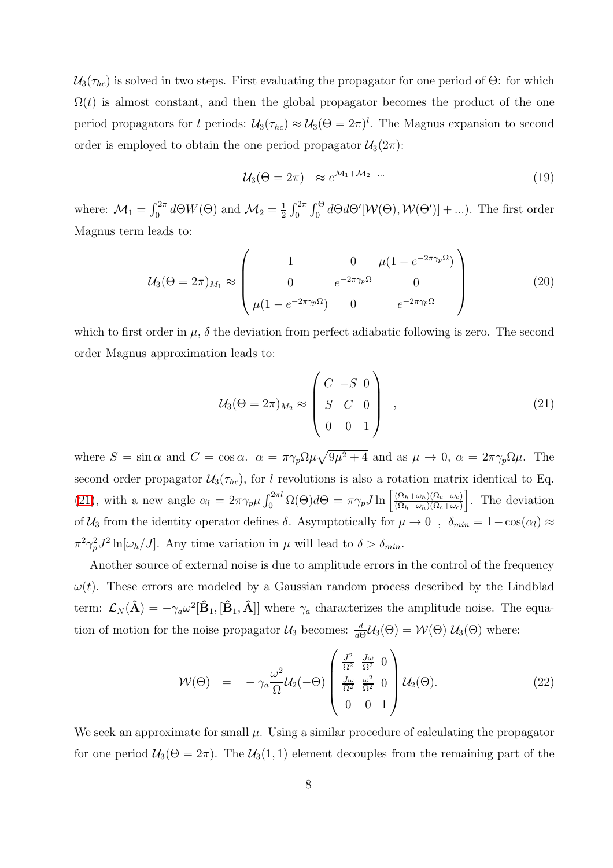$U_3(\tau_{hc})$  is solved in two steps. First evaluating the propagator for one period of  $\Theta$ : for which  $\Omega(t)$  is almost constant, and then the global propagator becomes the product of the one period propagators for l periods:  $U_3(\tau_{hc}) \approx U_3(\Theta = 2\pi)^l$ . The Magnus expansion to second order is employed to obtain the one period propagator  $\mathcal{U}_3(2\pi)$ :

$$
\mathcal{U}_3(\Theta = 2\pi) \approx e^{\mathcal{M}_1 + \mathcal{M}_2 + \dots} \tag{19}
$$

where:  $\mathcal{M}_1 = \int_0^{2\pi} d\Theta W(\Theta)$  and  $\mathcal{M}_2 = \frac{1}{2}$  $\frac{1}{2} \int_0^{2\pi} \int_0^{\Theta} d\Theta d\Theta'[\mathcal{W}(\Theta), \mathcal{W}(\Theta')] + ...).$  The first order Magnus term leads to:

$$
\mathcal{U}_3(\Theta = 2\pi)_{M_1} \approx \begin{pmatrix} 1 & 0 & \mu(1 - e^{-2\pi\gamma_p \Omega}) \\ 0 & e^{-2\pi\gamma_p \Omega} & 0 \\ \mu(1 - e^{-2\pi\gamma_p \Omega}) & 0 & e^{-2\pi\gamma_p \Omega} \end{pmatrix}
$$
(20)

which to first order in  $\mu$ ,  $\delta$  the deviation from perfect adiabatic following is zero. The second order Magnus approximation leads to:

<span id="page-7-0"></span>
$$
U_3(\Theta = 2\pi)_{M_2} \approx \begin{pmatrix} C & -S & 0 \\ S & C & 0 \\ 0 & 0 & 1 \end{pmatrix} , \qquad (21)
$$

where  $S = \sin \alpha$  and  $C = \cos \alpha$ .  $\alpha = \pi \gamma_p \Omega \mu \sqrt{9\mu^2 + 4}$  and as  $\mu \to 0$ ,  $\alpha = 2\pi \gamma_p \Omega \mu$ . The second order propagator  $\mathcal{U}_3(\tau_{hc})$ , for l revolutions is also a rotation matrix identical to Eq. [\(21\)](#page-7-0), with a new angle  $\alpha_l = 2\pi \gamma_p \mu \int_0^{2\pi l} \Omega(\Theta) d\Theta = \pi \gamma_p J \ln \left[ \frac{(\Omega_h + \omega_h)(\Omega_c - \omega_c)}{(\Omega_h - \omega_h)(\Omega_c + \omega_c)} \right]$  $(\Omega_h-\omega_h)(\Omega_c+\omega_c)$ . The deviation of  $U_3$  from the identity operator defines  $\delta$ . Asymptotically for  $\mu \to 0$ ,  $\delta_{min} = 1 - \cos(\alpha_l) \approx$  $\pi^2 \gamma_p^2 J^2 \ln[\omega_h / J]$ . Any time variation in  $\mu$  will lead to  $\delta > \delta_{min}$ .

Another source of external noise is due to amplitude errors in the control of the frequency  $\omega(t)$ . These errors are modeled by a Gaussian random process described by the Lindblad term:  $\mathcal{L}_N(\hat{A}) = -\gamma_a \omega^2 [\hat{B}_1, [\hat{B}_1, \hat{A}]]$  where  $\gamma_a$  characterizes the amplitude noise. The equation of motion for the noise propagator  $\mathcal{U}_3$  becomes:  $\frac{d}{d\Theta}\mathcal{U}_3(\Theta) = \mathcal{W}(\Theta) \mathcal{U}_3(\Theta)$  where:

<span id="page-7-1"></span>
$$
\mathcal{W}(\Theta) = -\gamma_a \frac{\omega^2}{\Omega} \mathcal{U}_2(-\Theta) \begin{pmatrix} \frac{J^2}{\Omega^2} & \frac{J\omega}{\Omega^2} & 0\\ \frac{J\omega}{\Omega^2} & \frac{\omega^2}{\Omega^2} & 0\\ 0 & 0 & 1 \end{pmatrix} \mathcal{U}_2(\Theta). \tag{22}
$$

We seek an approximate for small  $\mu$ . Using a similar procedure of calculating the propagator for one period  $U_3(\Theta = 2\pi)$ . The  $U_3(1,1)$  element decouples from the remaining part of the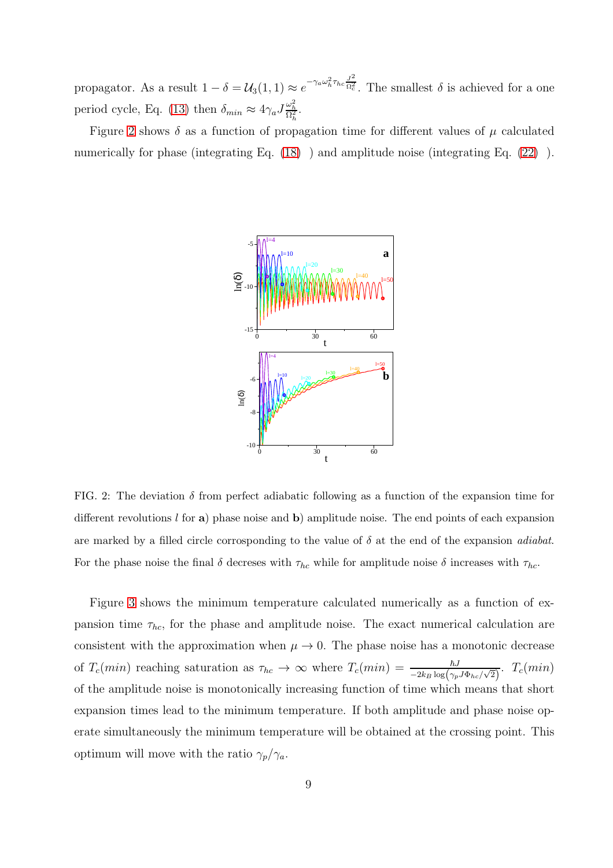propagator. As a result  $1 - \delta = \mathcal{U}_3(1, 1) \approx e^{-\gamma_a \omega_h^2 \tau_{hc} \frac{J^2}{\Omega_c^2}}$  $\overline{\Omega_c^2}$ . The smallest  $\delta$  is achieved for a one period cycle, Eq. [\(13\)](#page-5-2) then  $\delta_{min} \approx 4\gamma_a J \frac{\omega_h^2}{\Omega_h^2}$ .

Figure [2](#page-8-0) shows  $\delta$  as a function of propagation time for different values of  $\mu$  calculated numerically for phase (integrating Eq. [\(18\)](#page-6-1) ) and amplitude noise (integrating Eq. [\(22\)](#page-7-1) ).



<span id="page-8-0"></span>FIG. 2: The deviation  $\delta$  from perfect adiabatic following as a function of the expansion time for different revolutions  $l$  for a) phase noise and b) amplitude noise. The end points of each expansion are marked by a filled circle corrosponding to the value of  $\delta$  at the end of the expansion *adiabat*. For the phase noise the final  $\delta$  decreses with  $\tau_{hc}$  while for amplitude noise  $\delta$  increases with  $\tau_{hc}$ .

Figure [3](#page-9-0) shows the minimum temperature calculated numerically as a function of expansion time  $\tau_{hc}$ , for the phase and amplitude noise. The exact numerical calculation are consistent with the approximation when  $\mu \to 0$ . The phase noise has a monotonic decrease of  $T_c(min)$  reaching saturation as  $\tau_{hc} \to \infty$  where  $T_c(min) = \frac{\hbar J}{-2k_B \log(\gamma_p J \Phi_{hc}/\sqrt{2})}$ .  $T_c(min)$ of the amplitude noise is monotonically increasing function of time which means that short expansion times lead to the minimum temperature. If both amplitude and phase noise operate simultaneously the minimum temperature will be obtained at the crossing point. This optimum will move with the ratio  $\gamma_p/\gamma_a$ .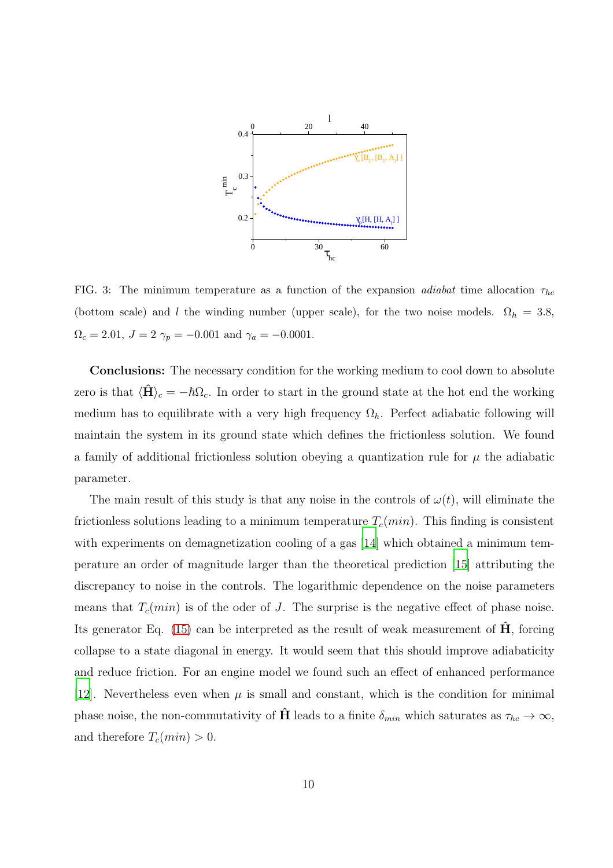

<span id="page-9-0"></span>FIG. 3: The minimum temperature as a function of the expansion *adiabat* time allocation  $\tau_{hc}$ (bottom scale) and l the winding number (upper scale), for the two noise models.  $\Omega_h = 3.8$ ,  $\Omega_c = 2.01, J = 2 \gamma_p = -0.001 \text{ and } \gamma_a = -0.0001.$ 

Conclusions: The necessary condition for the working medium to cool down to absolute zero is that  $\langle \hat{H} \rangle_c = -\hbar \Omega_c$ . In order to start in the ground state at the hot end the working medium has to equilibrate with a very high frequency  $\Omega_h$ . Perfect adiabatic following will maintain the system in its ground state which defines the frictionless solution. We found a family of additional frictionless solution obeying a quantization rule for  $\mu$  the adiabatic parameter.

The main result of this study is that any noise in the controls of  $\omega(t)$ , will eliminate the frictionless solutions leading to a minimum temperature  $T_c(min)$ . This finding is consistent with experiments on demagnetization cooling of a gas [\[14\]](#page-10-13) which obtained a minimum temperature an order of magnitude larger than the theoretical prediction [\[15\]](#page-10-14) attributing the discrepancy to noise in the controls. The logarithmic dependence on the noise parameters means that  $T_c(min)$  is of the oder of J. The surprise is the negative effect of phase noise. Its generator Eq. [\(15\)](#page-6-2) can be interpreted as the result of weak measurement of  $\dot{H}$ , forcing collapse to a state diagonal in energy. It would seem that this should improve adiabaticity and reduce friction. For an engine model we found such an effect of enhanced performance [\[12\]](#page-10-11). Nevertheless even when  $\mu$  is small and constant, which is the condition for minimal phase noise, the non-commutativity of  $\hat{H}$  leads to a finite  $\delta_{min}$  which saturates as  $\tau_{hc} \to \infty$ , and therefore  $T_c(min) > 0$ .